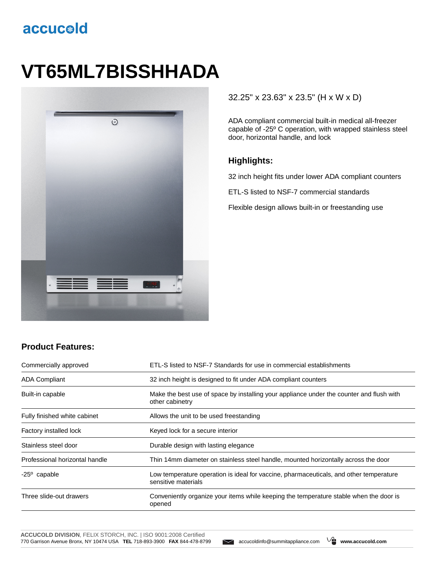## accucold

# **VT65ML7BISSHHADA**



#### 32.25" x 23.63" x 23.5" (H x W x D)

ADA compliant commercial built-in medical all-freezer capable of -25º C operation, with wrapped stainless steel door, horizontal handle, and lock

#### **Highlights:**

32 inch height fits under lower ADA compliant counters

ETL-S listed to NSF-7 commercial standards

Flexible design allows built-in or freestanding use

### **Product Features:**

| Commercially approved          | ETL-S listed to NSF-7 Standards for use in commercial establishments                                          |  |
|--------------------------------|---------------------------------------------------------------------------------------------------------------|--|
| <b>ADA Compliant</b>           | 32 inch height is designed to fit under ADA compliant counters                                                |  |
| Built-in capable               | Make the best use of space by installing your appliance under the counter and flush with<br>other cabinetry   |  |
| Fully finished white cabinet   | Allows the unit to be used freestanding                                                                       |  |
| Factory installed lock         | Keyed lock for a secure interior                                                                              |  |
| Stainless steel door           | Durable design with lasting elegance                                                                          |  |
| Professional horizontal handle | Thin 14mm diameter on stainless steel handle, mounted horizontally across the door                            |  |
| $-25^{\circ}$ capable          | Low temperature operation is ideal for vaccine, pharmaceuticals, and other temperature<br>sensitive materials |  |
| Three slide-out drawers        | Conveniently organize your items while keeping the temperature stable when the door is<br>opened              |  |

**ACCUCOLD DIVISION**, FELIX STORCH, INC. | ISO 9001:2008 Certified 770 Garrison Avenue Bronx, NY 10474 USA **TEL** 718-893-3900 **FAX** 844-478-8799 accucoldinfo@summitappliance.com **www.accucold.com**